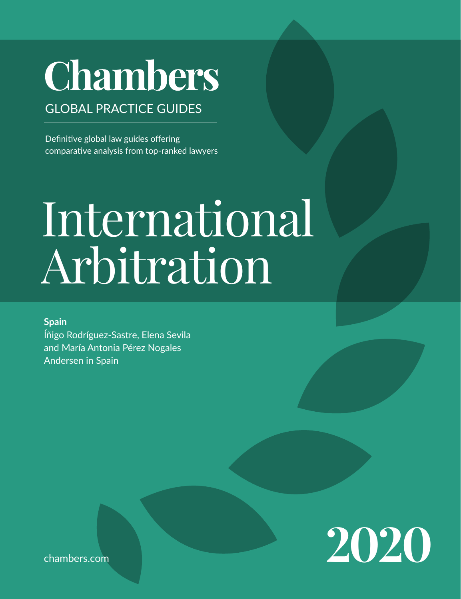# **Chambers**

# GLOBAL PRACTICE GUIDES

Definitive global law guides offering comparative analysis from top-ranked lawyers

# International Arbitration

**Spain** Íñigo Rodríguez-Sastre, Elena Sevila and María Antonia Pérez Nogales Andersen in Spain



[chambers.com](http://chambers.com)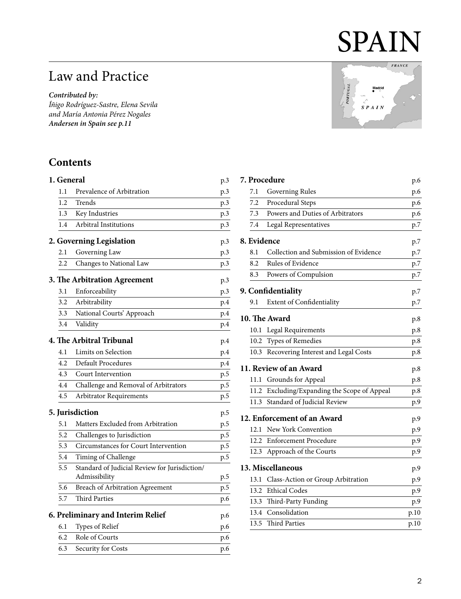# SPAIN

# Law and Practice

*Contributed by:*

*Íñigo Rodríguez-Sastre, Elena Sevila and María Antonia Pérez Nogales Andersen in Spai[n see p.11](#page-10-0)*

# **Contents**

|         |                                                                | p.3                                                                                                                                                        |
|---------|----------------------------------------------------------------|------------------------------------------------------------------------------------------------------------------------------------------------------------|
| $1.1\,$ | Prevalence of Arbitration                                      | p.3                                                                                                                                                        |
| 1.2     | Trends                                                         | p.3                                                                                                                                                        |
| 1.3     | Key Industries                                                 | p.3                                                                                                                                                        |
| 1.4     | Arbitral Institutions                                          | p.3                                                                                                                                                        |
|         |                                                                | p.3                                                                                                                                                        |
| 2.1     | Governing Law                                                  | p.3                                                                                                                                                        |
| 2.2     | Changes to National Law                                        | p.3                                                                                                                                                        |
|         |                                                                | p.3                                                                                                                                                        |
| 3.1     | Enforceability                                                 | p.3                                                                                                                                                        |
| 3.2     | Arbitrability                                                  | p.4                                                                                                                                                        |
| 3.3     | National Courts' Approach                                      | p.4                                                                                                                                                        |
| 3.4     | Validity                                                       | p.4                                                                                                                                                        |
|         |                                                                | p.4                                                                                                                                                        |
| 4.1     | Limits on Selection                                            | p.4                                                                                                                                                        |
| 4.2     | <b>Default Procedures</b>                                      | p.4                                                                                                                                                        |
| 4.3     | Court Intervention                                             | p.5                                                                                                                                                        |
| 4.4     | Challenge and Removal of Arbitrators                           | p.5                                                                                                                                                        |
| 4.5     | Arbitrator Requirements                                        | p.5                                                                                                                                                        |
|         |                                                                | p.5                                                                                                                                                        |
| 5.1     | Matters Excluded from Arbitration                              | p.5                                                                                                                                                        |
| 5.2     | Challenges to Jurisdiction                                     | p.5                                                                                                                                                        |
| 5.3     | Circumstances for Court Intervention                           | p.5                                                                                                                                                        |
| 5.4     | Timing of Challenge                                            | p.5                                                                                                                                                        |
| 5.5     | Standard of Judicial Review for Jurisdiction/<br>Admissibility | p.5                                                                                                                                                        |
| 5.6     | Breach of Arbitration Agreement                                | p.5                                                                                                                                                        |
| 5.7     | <b>Third Parties</b>                                           | p.6                                                                                                                                                        |
|         |                                                                | p.6                                                                                                                                                        |
| 6.1     | Types of Relief                                                | p.6                                                                                                                                                        |
| 6.2     | Role of Courts                                                 | p.6                                                                                                                                                        |
| 6.3     | Security for Costs                                             | p.6                                                                                                                                                        |
|         |                                                                | 1. General<br>2. Governing Legislation<br>3. The Arbitration Agreement<br>4. The Arbitral Tribunal<br>5. Jurisdiction<br>6. Preliminary and Interim Relief |

|                 | <b>FRANCE</b> |
|-----------------|---------------|
|                 |               |
| Madrid          |               |
| <b>PORTUGAL</b> |               |
| <b>SPAIN</b>    |               |
|                 |               |
|                 |               |
|                 |               |

| 7. Procedure |                                         | p.6  |
|--------------|-----------------------------------------|------|
| 7.1          | Governing Rules                         | p.6  |
| 7.2          | Procedural Steps                        | p.6  |
| 7.3          | Powers and Duties of Arbitrators        | p.6  |
| 7.4          | Legal Representatives                   | p.7  |
| 8. Evidence  |                                         | p.7  |
| 8.1          | Collection and Submission of Evidence   | p.7  |
| 8.2          | Rules of Evidence                       | p.7  |
| 8.3          | Powers of Compulsion                    | p.7  |
|              | 9. Confidentiality                      | p.7  |
| 9.1          | <b>Extent of Confidentiality</b>        | p.7  |
|              | 10. The Award                           | p.8  |
| 10.1         | Legal Requirements                      | p.8  |
| 10.2         | Types of Remedies                       | p.8  |
| 10.3         | Recovering Interest and Legal Costs     | p.8  |
|              | 11. Review of an Award                  | p.8  |
| 11.1         | Grounds for Appeal                      | p.8  |
| 11.2         | Excluding/Expanding the Scope of Appeal | p.8  |
| 11.3         | Standard of Judicial Review             | p.9  |
|              | 12. Enforcement of an Award             | p.9  |
| 12.1         | New York Convention                     | p.9  |
| 12.2         | <b>Enforcement Procedure</b>            | p.9  |
| 12.3         | Approach of the Courts                  | p.9  |
|              | 13. Miscellaneous                       | p.9  |
| 13.1         | Class-Action or Group Arbitration       | p.9  |
| 13.2         | <b>Ethical Codes</b>                    | p.9  |
| 13.3         | Third-Party Funding                     | p.9  |
| 13.4         | Consolidation                           | p.10 |
| 13.5         | <b>Third Parties</b>                    | p.10 |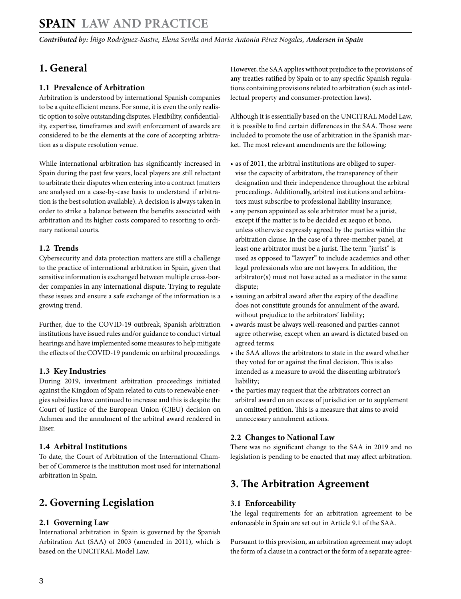# <span id="page-2-0"></span>**SPAIN Law and Practice**

*Contributed by: Íñigo Rodríguez-Sastre, Elena Sevila and María Antonia Pérez Nogales, Andersen in Spain* 

# **1. General**

#### **1.1 Prevalence of Arbitration**

Arbitration is understood by international Spanish companies to be a quite efficient means. For some, it is even the only realistic option to solve outstanding disputes. Flexibility, confidentiality, expertise, timeframes and swift enforcement of awards are considered to be the elements at the core of accepting arbitration as a dispute resolution venue.

While international arbitration has significantly increased in Spain during the past few years, local players are still reluctant to arbitrate their disputes when entering into a contract (matters are analysed on a case-by-case basis to understand if arbitration is the best solution available). A decision is always taken in order to strike a balance between the benefits associated with arbitration and its higher costs compared to resorting to ordinary national courts.

#### **1.2 Trends**

Cybersecurity and data protection matters are still a challenge to the practice of international arbitration in Spain, given that sensitive information is exchanged between multiple cross-border companies in any international dispute. Trying to regulate these issues and ensure a safe exchange of the information is a growing trend.

Further, due to the COVID-19 outbreak, Spanish arbitration institutions have issued rules and/or guidance to conduct virtual hearings and have implemented some measures to help mitigate the effects of the COVID-19 pandemic on arbitral proceedings.

#### **1.3 Key Industries**

During 2019, investment arbitration proceedings initiated against the Kingdom of Spain related to cuts to renewable energies subsidies have continued to increase and this is despite the Court of Justice of the European Union (CJEU) decision on Achmea and the annulment of the arbitral award rendered in Eiser.

#### **1.4 Arbitral Institutions**

To date, the Court of Arbitration of the International Chamber of Commerce is the institution most used for international arbitration in Spain.

# **2. Governing Legislation**

#### **2.1 Governing Law**

International arbitration in Spain is governed by the Spanish Arbitration Act (SAA) of 2003 (amended in 2011), which is based on the UNCITRAL Model Law.

However, the SAA applies without prejudice to the provisions of any treaties ratified by Spain or to any specific Spanish regulations containing provisions related to arbitration (such as intellectual property and consumer-protection laws).

Although it is essentially based on the UNCITRAL Model Law, it is possible to find certain differences in the SAA. Those were included to promote the use of arbitration in the Spanish market. The most relevant amendments are the following:

- as of 2011, the arbitral institutions are obliged to supervise the capacity of arbitrators, the transparency of their designation and their independence throughout the arbitral proceedings. Additionally, arbitral institutions and arbitrators must subscribe to professional liability insurance;
- any person appointed as sole arbitrator must be a jurist, except if the matter is to be decided ex aequo et bono, unless otherwise expressly agreed by the parties within the arbitration clause. In the case of a three-member panel, at least one arbitrator must be a jurist. The term "jurist" is used as opposed to "lawyer" to include academics and other legal professionals who are not lawyers. In addition, the arbitrator(s) must not have acted as a mediator in the same dispute;
- issuing an arbitral award after the expiry of the deadline does not constitute grounds for annulment of the award, without prejudice to the arbitrators' liability;
- awards must be always well-reasoned and parties cannot agree otherwise, except when an award is dictated based on agreed terms;
- the SAA allows the arbitrators to state in the award whether they voted for or against the final decision. This is also intended as a measure to avoid the dissenting arbitrator's liability;
- the parties may request that the arbitrators correct an arbitral award on an excess of jurisdiction or to supplement an omitted petition. This is a measure that aims to avoid unnecessary annulment actions.

#### **2.2 Changes to National Law**

There was no significant change to the SAA in 2019 and no legislation is pending to be enacted that may affect arbitration.

# **3. The Arbitration Agreement**

#### **3.1 Enforceability**

The legal requirements for an arbitration agreement to be enforceable in Spain are set out in Article 9.1 of the SAA.

Pursuant to this provision, an arbitration agreement may adopt the form of a clause in a contract or the form of a separate agree-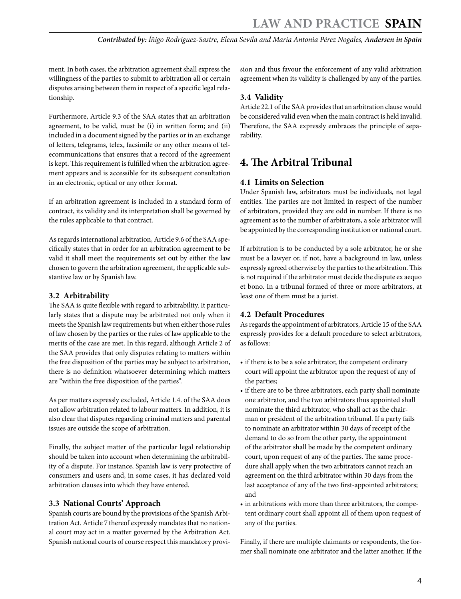<span id="page-3-0"></span>ment. In both cases, the arbitration agreement shall express the willingness of the parties to submit to arbitration all or certain disputes arising between them in respect of a specific legal relationship.

Furthermore, Article 9.3 of the SAA states that an arbitration agreement, to be valid, must be (i) in written form; and (ii) included in a document signed by the parties or in an exchange of letters, telegrams, telex, facsimile or any other means of telecommunications that ensures that a record of the agreement is kept. This requirement is fulfilled when the arbitration agreement appears and is accessible for its subsequent consultation in an electronic, optical or any other format.

If an arbitration agreement is included in a standard form of contract, its validity and its interpretation shall be governed by the rules applicable to that contract.

As regards international arbitration, Article 9.6 of the SAA specifically states that in order for an arbitration agreement to be valid it shall meet the requirements set out by either the law chosen to govern the arbitration agreement, the applicable substantive law or by Spanish law.

#### **3.2 Arbitrability**

The SAA is quite flexible with regard to arbitrability. It particularly states that a dispute may be arbitrated not only when it meets the Spanish law requirements but when either those rules of law chosen by the parties or the rules of law applicable to the merits of the case are met. In this regard, although Article 2 of the SAA provides that only disputes relating to matters within the free disposition of the parties may be subject to arbitration, there is no definition whatsoever determining which matters are "within the free disposition of the parties".

As per matters expressly excluded, Article 1.4. of the SAA does not allow arbitration related to labour matters. In addition, it is also clear that disputes regarding criminal matters and parental issues are outside the scope of arbitration.

Finally, the subject matter of the particular legal relationship should be taken into account when determining the arbitrability of a dispute. For instance, Spanish law is very protective of consumers and users and, in some cases, it has declared void arbitration clauses into which they have entered.

#### **3.3 National Courts' Approach**

Spanish courts are bound by the provisions of the Spanish Arbitration Act. Article 7 thereof expressly mandates that no national court may act in a matter governed by the Arbitration Act. Spanish national courts of course respect this mandatory provision and thus favour the enforcement of any valid arbitration agreement when its validity is challenged by any of the parties.

#### **3.4 Validity**

Article 22.1 of the SAA provides that an arbitration clause would be considered valid even when the main contract is held invalid. Therefore, the SAA expressly embraces the principle of separability.

# **4. The Arbitral Tribunal**

#### **4.1 Limits on Selection**

Under Spanish law, arbitrators must be individuals, not legal entities. The parties are not limited in respect of the number of arbitrators, provided they are odd in number. If there is no agreement as to the number of arbitrators, a sole arbitrator will be appointed by the corresponding institution or national court.

If arbitration is to be conducted by a sole arbitrator, he or she must be a lawyer or, if not, have a background in law, unless expressly agreed otherwise by the parties to the arbitration. This is not required if the arbitrator must decide the dispute ex aequo et bono. In a tribunal formed of three or more arbitrators, at least one of them must be a jurist.

#### **4.2 Default Procedures**

As regards the appointment of arbitrators, Article 15 of the SAA expressly provides for a default procedure to select arbitrators, as follows:

- if there is to be a sole arbitrator, the competent ordinary court will appoint the arbitrator upon the request of any of the parties;
- if there are to be three arbitrators, each party shall nominate one arbitrator, and the two arbitrators thus appointed shall nominate the third arbitrator, who shall act as the chairman or president of the arbitration tribunal. If a party fails to nominate an arbitrator within 30 days of receipt of the demand to do so from the other party, the appointment of the arbitrator shall be made by the competent ordinary court, upon request of any of the parties. The same procedure shall apply when the two arbitrators cannot reach an agreement on the third arbitrator within 30 days from the last acceptance of any of the two first-appointed arbitrators; and
- in arbitrations with more than three arbitrators, the competent ordinary court shall appoint all of them upon request of any of the parties.

Finally, if there are multiple claimants or respondents, the former shall nominate one arbitrator and the latter another. If the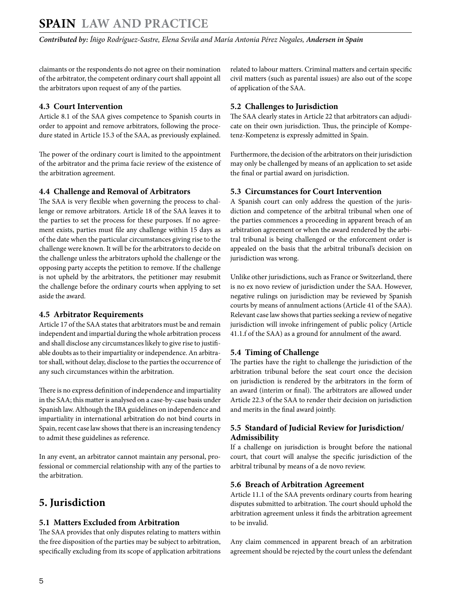<span id="page-4-0"></span>claimants or the respondents do not agree on their nomination of the arbitrator, the competent ordinary court shall appoint all the arbitrators upon request of any of the parties.

#### **4.3 Court Intervention**

Article 8.1 of the SAA gives competence to Spanish courts in order to appoint and remove arbitrators, following the procedure stated in Article 15.3 of the SAA, as previously explained.

The power of the ordinary court is limited to the appointment of the arbitrator and the prima facie review of the existence of the arbitration agreement.

#### **4.4 Challenge and Removal of Arbitrators**

The SAA is very flexible when governing the process to challenge or remove arbitrators. Article 18 of the SAA leaves it to the parties to set the process for these purposes. If no agreement exists, parties must file any challenge within 15 days as of the date when the particular circumstances giving rise to the challenge were known. It will be for the arbitrators to decide on the challenge unless the arbitrators uphold the challenge or the opposing party accepts the petition to remove. If the challenge is not upheld by the arbitrators, the petitioner may resubmit the challenge before the ordinary courts when applying to set aside the award.

#### **4.5 Arbitrator Requirements**

Article 17 of the SAA states that arbitrators must be and remain independent and impartial during the whole arbitration process and shall disclose any circumstances likely to give rise to justifiable doubts as to their impartiality or independence. An arbitrator shall, without delay, disclose to the parties the occurrence of any such circumstances within the arbitration.

There is no express definition of independence and impartiality in the SAA; this matter is analysed on a case-by-case basis under Spanish law. Although the IBA guidelines on independence and impartiality in international arbitration do not bind courts in Spain, recent case law shows that there is an increasing tendency to admit these guidelines as reference.

In any event, an arbitrator cannot maintain any personal, professional or commercial relationship with any of the parties to the arbitration.

# **5. Jurisdiction**

#### **5.1 Matters Excluded from Arbitration**

The SAA provides that only disputes relating to matters within the free disposition of the parties may be subject to arbitration, specifically excluding from its scope of application arbitrations related to labour matters. Criminal matters and certain specific civil matters (such as parental issues) are also out of the scope of application of the SAA.

#### **5.2 Challenges to Jurisdiction**

The SAA clearly states in Article 22 that arbitrators can adjudicate on their own jurisdiction. Thus, the principle of Kompetenz-Kompetenz is expressly admitted in Spain.

Furthermore, the decision of the arbitrators on their jurisdiction may only be challenged by means of an application to set aside the final or partial award on jurisdiction.

#### **5.3 Circumstances for Court Intervention**

A Spanish court can only address the question of the jurisdiction and competence of the arbitral tribunal when one of the parties commences a proceeding in apparent breach of an arbitration agreement or when the award rendered by the arbitral tribunal is being challenged or the enforcement order is appealed on the basis that the arbitral tribunal's decision on jurisdiction was wrong.

Unlike other jurisdictions, such as France or Switzerland, there is no ex novo review of jurisdiction under the SAA. However, negative rulings on jurisdiction may be reviewed by Spanish courts by means of annulment actions (Article 41 of the SAA). Relevant case law shows that parties seeking a review of negative jurisdiction will invoke infringement of public policy (Article 41.1.f of the SAA) as a ground for annulment of the award.

#### **5.4 Timing of Challenge**

The parties have the right to challenge the jurisdiction of the arbitration tribunal before the seat court once the decision on jurisdiction is rendered by the arbitrators in the form of an award (interim or final). The arbitrators are allowed under Article 22.3 of the SAA to render their decision on jurisdiction and merits in the final award jointly.

#### **5.5 Standard of Judicial Review for Jurisdiction/ Admissibility**

If a challenge on jurisdiction is brought before the national court, that court will analyse the specific jurisdiction of the arbitral tribunal by means of a de novo review.

#### **5.6 Breach of Arbitration Agreement**

Article 11.1 of the SAA prevents ordinary courts from hearing disputes submitted to arbitration. The court should uphold the arbitration agreement unless it finds the arbitration agreement to be invalid.

Any claim commenced in apparent breach of an arbitration agreement should be rejected by the court unless the defendant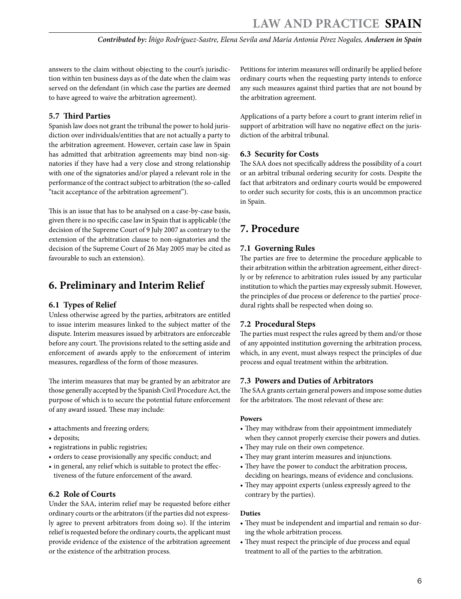<span id="page-5-0"></span>answers to the claim without objecting to the court's jurisdiction within ten business days as of the date when the claim was served on the defendant (in which case the parties are deemed to have agreed to waive the arbitration agreement).

#### **5.7 Third Parties**

Spanish law does not grant the tribunal the power to hold jurisdiction over individuals/entities that are not actually a party to the arbitration agreement. However, certain case law in Spain has admitted that arbitration agreements may bind non-signatories if they have had a very close and strong relationship with one of the signatories and/or played a relevant role in the performance of the contract subject to arbitration (the so-called "tacit acceptance of the arbitration agreement").

This is an issue that has to be analysed on a case-by-case basis, given there is no specific case law in Spain that is applicable (the decision of the Supreme Court of 9 July 2007 as contrary to the extension of the arbitration clause to non-signatories and the decision of the Supreme Court of 26 May 2005 may be cited as favourable to such an extension).

# **6. Preliminary and Interim Relief**

#### **6.1 Types of Relief**

Unless otherwise agreed by the parties, arbitrators are entitled to issue interim measures linked to the subject matter of the dispute. Interim measures issued by arbitrators are enforceable before any court. The provisions related to the setting aside and enforcement of awards apply to the enforcement of interim measures, regardless of the form of those measures.

The interim measures that may be granted by an arbitrator are those generally accepted by the Spanish Civil Procedure Act, the purpose of which is to secure the potential future enforcement of any award issued. These may include:

- attachments and freezing orders;
- deposits;
- registrations in public registries;
- orders to cease provisionally any specific conduct; and
- in general, any relief which is suitable to protect the effectiveness of the future enforcement of the award.

#### **6.2 Role of Courts**

Under the SAA, interim relief may be requested before either ordinary courts or the arbitrators (if the parties did not expressly agree to prevent arbitrators from doing so). If the interim relief is requested before the ordinary courts, the applicant must provide evidence of the existence of the arbitration agreement or the existence of the arbitration process.

Petitions for interim measures will ordinarily be applied before ordinary courts when the requesting party intends to enforce any such measures against third parties that are not bound by the arbitration agreement.

Applications of a party before a court to grant interim relief in support of arbitration will have no negative effect on the jurisdiction of the arbitral tribunal.

#### **6.3 Security for Costs**

The SAA does not specifically address the possibility of a court or an arbitral tribunal ordering security for costs. Despite the fact that arbitrators and ordinary courts would be empowered to order such security for costs, this is an uncommon practice in Spain.

# **7. Procedure**

#### **7.1 Governing Rules**

The parties are free to determine the procedure applicable to their arbitration within the arbitration agreement, either directly or by reference to arbitration rules issued by any particular institution to which the parties may expressly submit. However, the principles of due process or deference to the parties' procedural rights shall be respected when doing so.

#### **7.2 Procedural Steps**

The parties must respect the rules agreed by them and/or those of any appointed institution governing the arbitration process, which, in any event, must always respect the principles of due process and equal treatment within the arbitration.

#### **7.3 Powers and Duties of Arbitrators**

The SAA grants certain general powers and impose some duties for the arbitrators. The most relevant of these are:

#### **Powers**

- They may withdraw from their appointment immediately when they cannot properly exercise their powers and duties.
- They may rule on their own competence.
- They may grant interim measures and injunctions.
- They have the power to conduct the arbitration process, deciding on hearings, means of evidence and conclusions.
- They may appoint experts (unless expressly agreed to the contrary by the parties).

#### **Duties**

- They must be independent and impartial and remain so during the whole arbitration process.
- They must respect the principle of due process and equal treatment to all of the parties to the arbitration.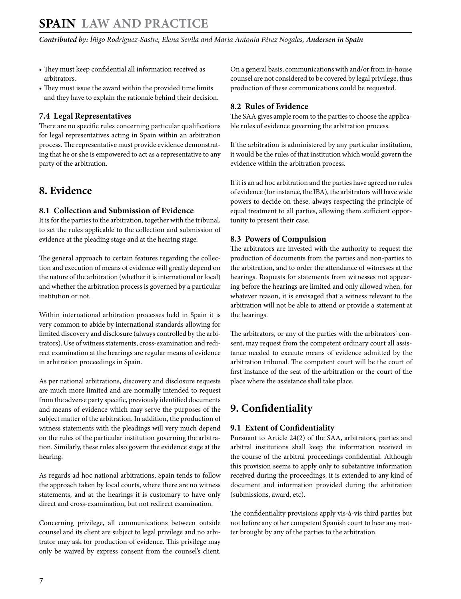- <span id="page-6-0"></span>• They must keep confidential all information received as arbitrators.
- They must issue the award within the provided time limits and they have to explain the rationale behind their decision.

#### **7.4 Legal Representatives**

There are no specific rules concerning particular qualifications for legal representatives acting in Spain within an arbitration process. The representative must provide evidence demonstrating that he or she is empowered to act as a representative to any party of the arbitration.

# **8. Evidence**

#### **8.1 Collection and Submission of Evidence**

It is for the parties to the arbitration, together with the tribunal, to set the rules applicable to the collection and submission of evidence at the pleading stage and at the hearing stage.

The general approach to certain features regarding the collection and execution of means of evidence will greatly depend on the nature of the arbitration (whether it is international or local) and whether the arbitration process is governed by a particular institution or not.

Within international arbitration processes held in Spain it is very common to abide by international standards allowing for limited discovery and disclosure (always controlled by the arbitrators). Use of witness statements, cross-examination and redirect examination at the hearings are regular means of evidence in arbitration proceedings in Spain.

As per national arbitrations, discovery and disclosure requests are much more limited and are normally intended to request from the adverse party specific, previously identified documents and means of evidence which may serve the purposes of the subject matter of the arbitration. In addition, the production of witness statements with the pleadings will very much depend on the rules of the particular institution governing the arbitration. Similarly, these rules also govern the evidence stage at the hearing.

As regards ad hoc national arbitrations, Spain tends to follow the approach taken by local courts, where there are no witness statements, and at the hearings it is customary to have only direct and cross-examination, but not redirect examination.

Concerning privilege, all communications between outside counsel and its client are subject to legal privilege and no arbitrator may ask for production of evidence. This privilege may only be waived by express consent from the counsel's client. On a general basis, communications with and/or from in-house counsel are not considered to be covered by legal privilege, thus production of these communications could be requested.

#### **8.2 Rules of Evidence**

The SAA gives ample room to the parties to choose the applicable rules of evidence governing the arbitration process.

If the arbitration is administered by any particular institution, it would be the rules of that institution which would govern the evidence within the arbitration process.

If it is an ad hoc arbitration and the parties have agreed no rules of evidence (for instance, the IBA), the arbitrators will have wide powers to decide on these, always respecting the principle of equal treatment to all parties, allowing them sufficient opportunity to present their case.

#### **8.3 Powers of Compulsion**

The arbitrators are invested with the authority to request the production of documents from the parties and non-parties to the arbitration, and to order the attendance of witnesses at the hearings. Requests for statements from witnesses not appearing before the hearings are limited and only allowed when, for whatever reason, it is envisaged that a witness relevant to the arbitration will not be able to attend or provide a statement at the hearings.

The arbitrators, or any of the parties with the arbitrators' consent, may request from the competent ordinary court all assistance needed to execute means of evidence admitted by the arbitration tribunal. The competent court will be the court of first instance of the seat of the arbitration or the court of the place where the assistance shall take place.

# **9. Confidentiality**

#### **9.1 Extent of Confidentiality**

Pursuant to Article 24(2) of the SAA, arbitrators, parties and arbitral institutions shall keep the information received in the course of the arbitral proceedings confidential. Although this provision seems to apply only to substantive information received during the proceedings, it is extended to any kind of document and information provided during the arbitration (submissions, award, etc).

The confidentiality provisions apply vis-à-vis third parties but not before any other competent Spanish court to hear any matter brought by any of the parties to the arbitration.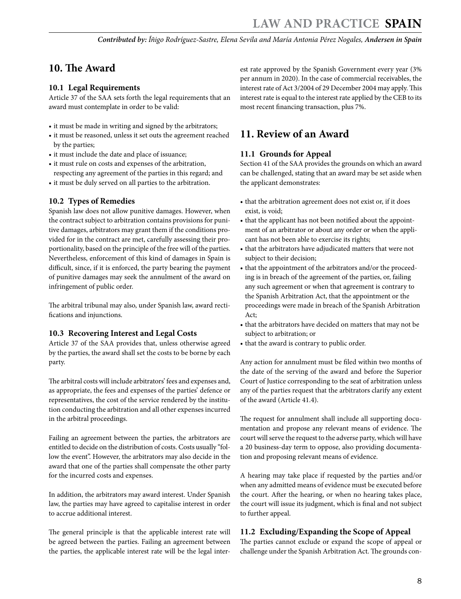# <span id="page-7-0"></span>**10. The Award**

#### **10.1 Legal Requirements**

Article 37 of the SAA sets forth the legal requirements that an award must contemplate in order to be valid:

- it must be made in writing and signed by the arbitrators;
- it must be reasoned, unless it set outs the agreement reached by the parties;
- it must include the date and place of issuance;
- it must rule on costs and expenses of the arbitration, respecting any agreement of the parties in this regard; and
- it must be duly served on all parties to the arbitration.

#### **10.2 Types of Remedies**

Spanish law does not allow punitive damages. However, when the contract subject to arbitration contains provisions for punitive damages, arbitrators may grant them if the conditions provided for in the contract are met, carefully assessing their proportionality, based on the principle of the free will of the parties. Nevertheless, enforcement of this kind of damages in Spain is difficult, since, if it is enforced, the party bearing the payment of punitive damages may seek the annulment of the award on infringement of public order.

The arbitral tribunal may also, under Spanish law, award rectifications and injunctions.

#### **10.3 Recovering Interest and Legal Costs**

Article 37 of the SAA provides that, unless otherwise agreed by the parties, the award shall set the costs to be borne by each party.

The arbitral costs will include arbitrators' fees and expenses and, as appropriate, the fees and expenses of the parties' defence or representatives, the cost of the service rendered by the institution conducting the arbitration and all other expenses incurred in the arbitral proceedings.

Failing an agreement between the parties, the arbitrators are entitled to decide on the distribution of costs. Costs usually "follow the event". However, the arbitrators may also decide in the award that one of the parties shall compensate the other party for the incurred costs and expenses.

In addition, the arbitrators may award interest. Under Spanish law, the parties may have agreed to capitalise interest in order to accrue additional interest.

The general principle is that the applicable interest rate will be agreed between the parties. Failing an agreement between the parties, the applicable interest rate will be the legal interest rate approved by the Spanish Government every year (3% per annum in 2020). In the case of commercial receivables, the interest rate of Act 3/2004 of 29 December 2004 may apply. This interest rate is equal to the interest rate applied by the CEB to its most recent financing transaction, plus 7%.

### **11. Review of an Award**

#### **11.1 Grounds for Appeal**

Section 41 of the SAA provides the grounds on which an award can be challenged, stating that an award may be set aside when the applicant demonstrates:

- that the arbitration agreement does not exist or, if it does exist, is void;
- that the applicant has not been notified about the appointment of an arbitrator or about any order or when the applicant has not been able to exercise its rights;
- that the arbitrators have adjudicated matters that were not subject to their decision;
- that the appointment of the arbitrators and/or the proceeding is in breach of the agreement of the parties, or, failing any such agreement or when that agreement is contrary to the Spanish Arbitration Act, that the appointment or the proceedings were made in breach of the Spanish Arbitration Act;
- that the arbitrators have decided on matters that may not be subject to arbitration; or
- that the award is contrary to public order.

Any action for annulment must be filed within two months of the date of the serving of the award and before the Superior Court of Justice corresponding to the seat of arbitration unless any of the parties request that the arbitrators clarify any extent of the award (Article 41.4).

The request for annulment shall include all supporting documentation and propose any relevant means of evidence. The court will serve the request to the adverse party, which will have a 20 business-day term to oppose, also providing documentation and proposing relevant means of evidence.

A hearing may take place if requested by the parties and/or when any admitted means of evidence must be executed before the court. After the hearing, or when no hearing takes place, the court will issue its judgment, which is final and not subject to further appeal.

#### **11.2 Excluding/Expanding the Scope of Appeal**

The parties cannot exclude or expand the scope of appeal or challenge under the Spanish Arbitration Act. The grounds con-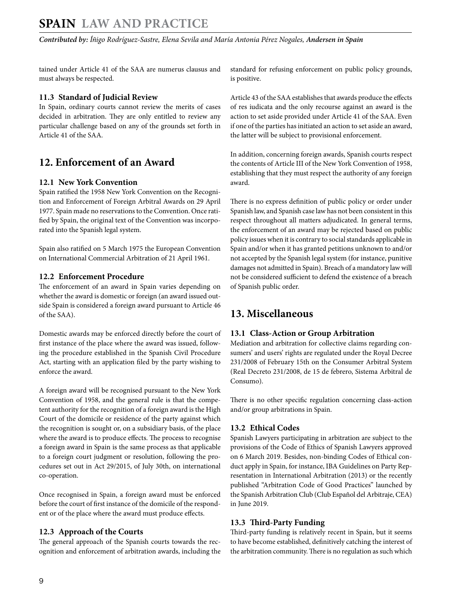<span id="page-8-0"></span>tained under Article 41 of the SAA are numerus clausus and must always be respected.

#### **11.3 Standard of Judicial Review**

In Spain, ordinary courts cannot review the merits of cases decided in arbitration. They are only entitled to review any particular challenge based on any of the grounds set forth in Article 41 of the SAA.

# **12. Enforcement of an Award**

#### **12.1 New York Convention**

Spain ratified the 1958 New York Convention on the Recognition and Enforcement of Foreign Arbitral Awards on 29 April 1977. Spain made no reservations to the Convention. Once ratified by Spain, the original text of the Convention was incorporated into the Spanish legal system.

Spain also ratified on 5 March 1975 the European Convention on International Commercial Arbitration of 21 April 1961.

#### **12.2 Enforcement Procedure**

The enforcement of an award in Spain varies depending on whether the award is domestic or foreign (an award issued outside Spain is considered a foreign award pursuant to Article 46 of the SAA).

Domestic awards may be enforced directly before the court of first instance of the place where the award was issued, following the procedure established in the Spanish Civil Procedure Act, starting with an application filed by the party wishing to enforce the award.

A foreign award will be recognised pursuant to the New York Convention of 1958, and the general rule is that the competent authority for the recognition of a foreign award is the High Court of the domicile or residence of the party against which the recognition is sought or, on a subsidiary basis, of the place where the award is to produce effects. The process to recognise a foreign award in Spain is the same process as that applicable to a foreign court judgment or resolution, following the procedures set out in Act 29/2015, of July 30th, on international co-operation.

Once recognised in Spain, a foreign award must be enforced before the court of first instance of the domicile of the respondent or of the place where the award must produce effects.

#### **12.3 Approach of the Courts**

The general approach of the Spanish courts towards the recognition and enforcement of arbitration awards, including the standard for refusing enforcement on public policy grounds, is positive.

Article 43 of the SAA establishes that awards produce the effects of res iudicata and the only recourse against an award is the action to set aside provided under Article 41 of the SAA. Even if one of the parties has initiated an action to set aside an award, the latter will be subject to provisional enforcement.

In addition, concerning foreign awards, Spanish courts respect the contents of Article III of the New York Convention of 1958, establishing that they must respect the authority of any foreign award.

There is no express definition of public policy or order under Spanish law, and Spanish case law has not been consistent in this respect throughout all matters adjudicated. In general terms, the enforcement of an award may be rejected based on public policy issues when it is contrary to social standards applicable in Spain and/or when it has granted petitions unknown to and/or not accepted by the Spanish legal system (for instance, punitive damages not admitted in Spain). Breach of a mandatory law will not be considered sufficient to defend the existence of a breach of Spanish public order.

# **13. Miscellaneous**

#### **13.1 Class-Action or Group Arbitration**

Mediation and arbitration for collective claims regarding consumers' and users' rights are regulated under the Royal Decree 231/2008 of February 15th on the Consumer Arbitral System (Real Decreto 231/2008, de 15 de febrero, Sistema Arbitral de Consumo).

There is no other specific regulation concerning class-action and/or group arbitrations in Spain.

#### **13.2 Ethical Codes**

Spanish Lawyers participating in arbitration are subject to the provisions of the Code of Ethics of Spanish Lawyers approved on 6 March 2019. Besides, non-binding Codes of Ethical conduct apply in Spain, for instance, IBA Guidelines on Party Representation in International Arbitration (2013) or the recently published "Arbitration Code of Good Practices" launched by the Spanish Arbitration Club (Club Español del Arbitraje, CEA) in June 2019.

#### **13.3 Third-Party Funding**

Third-party funding is relatively recent in Spain, but it seems to have become established, definitively catching the interest of the arbitration community. There is no regulation as such which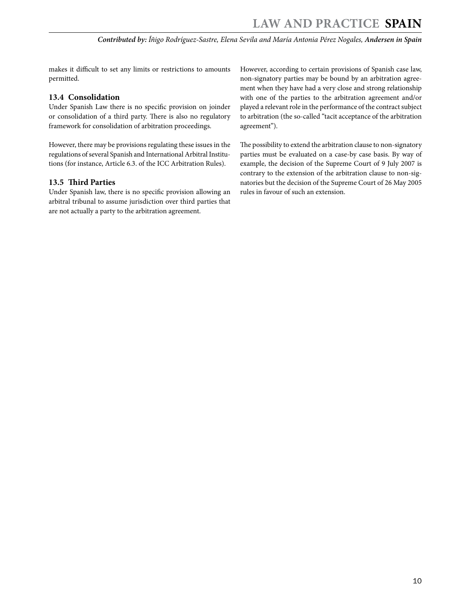<span id="page-9-0"></span>makes it difficult to set any limits or restrictions to amounts permitted.

#### **13.4 Consolidation**

Under Spanish Law there is no specific provision on joinder or consolidation of a third party. There is also no regulatory framework for consolidation of arbitration proceedings.

However, there may be provisions regulating these issues in the regulations of several Spanish and International Arbitral Institutions (for instance, Article 6.3. of the ICC Arbitration Rules).

#### **13.5 Third Parties**

Under Spanish law, there is no specific provision allowing an arbitral tribunal to assume jurisdiction over third parties that are not actually a party to the arbitration agreement.

However, according to certain provisions of Spanish case law, non-signatory parties may be bound by an arbitration agreement when they have had a very close and strong relationship with one of the parties to the arbitration agreement and/or played a relevant role in the performance of the contract subject to arbitration (the so-called "tacit acceptance of the arbitration agreement").

The possibility to extend the arbitration clause to non-signatory parties must be evaluated on a case-by case basis. By way of example, the decision of the Supreme Court of 9 July 2007 is contrary to the extension of the arbitration clause to non-signatories but the decision of the Supreme Court of 26 May 2005 rules in favour of such an extension.